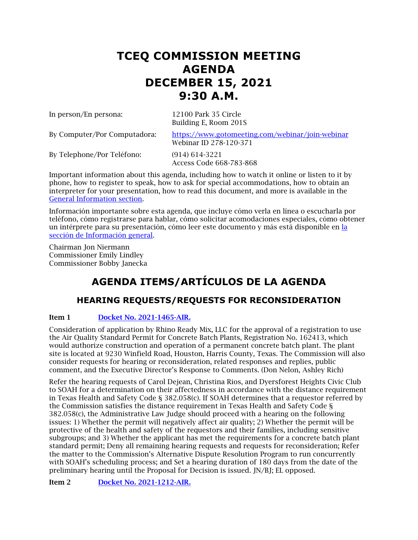# **TCEQ COMMISSION MEETING AGENDA DECEMBER 15, 2021 9:30 A.M.**

In person/En persona: 12100 Park 35 Circle

Building E, Room 201S

By Computer/Por Computadora: <https://www.gotomeeting.com/webinar/join-webinar> Webinar ID 278-120-371

By Telephone/Por Teléfono: (914) 614-3221

Access Code 668-783-868

Important information about this agenda, including how to watch it online or listen to it by phone, how to register to speak, how to ask for special accommodations, how to obtain an interpreter for your presentation, how to read this document, and more is available in the [General Information section.](#page-9-0)

Información importante sobre esta agenda, que incluye cómo verla en línea o escucharla por teléfono, cómo registrarse para hablar, cómo solicitar acomodaciones especiales, cómo obtener un intérprete para su presentación, cómo leer este documento y más está disponible en [la](#page-9-0)  [sección de Información general.](#page-9-0)

Chairman Jon Niermann Commissioner Emily Lindley Commissioner Bobby Janecka

# **AGENDA ITEMS/ARTÍCULOS DE LA AGENDA**

# **HEARING REQUESTS/REQUESTS FOR RECONSIDERATION**

### Item 1 [Docket No. 2021-1465-AIR.](http://www.tceq.texas.gov/assets/public/comm_exec/agendas/comm/backup/Agendas/2021/12-15-2021/rhino.pdf)

Consideration of application by Rhino Ready Mix, LLC for the approval of a registration to use the Air Quality Standard Permit for Concrete Batch Plants, Registration No. 162413, which would authorize construction and operation of a permanent concrete batch plant. The plant site is located at 9230 Winfield Road, Houston, Harris County, Texas. The Commission will also consider requests for hearing or reconsideration, related responses and replies, public comment, and the Executive Director's Response to Comments. (Don Nelon, Ashley Rich)

Refer the hearing requests of Carol Dejean, Christina Rios, and Dyersforest Heights Civic Club to SOAH for a determination on their affectedness in accordance with the distance requirement in Texas Health and Safety Code § 382.058(c). If SOAH determines that a requestor referred by the Commission satisfies the distance requirement in Texas Health and Safety Code § 382.058(c), the Administrative Law Judge should proceed with a hearing on the following issues: 1) Whether the permit will negatively affect air quality; 2) Whether the permit will be protective of the health and safety of the requestors and their families, including sensitive subgroups; and 3) Whether the applicant has met the requirements for a concrete batch plant standard permit; Deny all remaining hearing requests and requests for reconsideration; Refer the matter to the Commission's Alternative Dispute Resolution Program to run concurrently with SOAH's scheduling process; and Set a hearing duration of 180 days from the date of the preliminary hearing until the Proposal for Decision is issued. JN/BJ; EL opposed.

Item 2 [Docket No. 2021-1212-AIR.](http://www.tceq.texas.gov/assets/public/comm_exec/agendas/comm/backup/Agendas/2021/12-15-2021/united.pdf)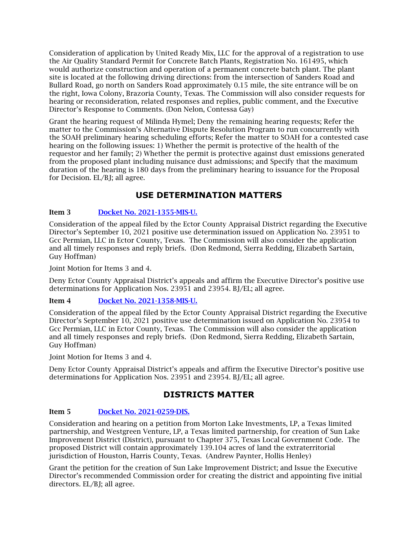Consideration of application by United Ready Mix, LLC for the approval of a registration to use the Air Quality Standard Permit for Concrete Batch Plants, Registration No. 161495, which would authorize construction and operation of a permanent concrete batch plant. The plant site is located at the following driving directions: from the intersection of Sanders Road and Bullard Road, go north on Sanders Road approximately 0.15 mile, the site entrance will be on the right, Iowa Colony, Brazoria County, Texas. The Commission will also consider requests for hearing or reconsideration, related responses and replies, public comment, and the Executive Director's Response to Comments. (Don Nelon, Contessa Gay)

Grant the hearing request of Milinda Hymel; Deny the remaining hearing requests; Refer the matter to the Commission's Alternative Dispute Resolution Program to run concurrently with the SOAH preliminary hearing scheduling efforts; Refer the matter to SOAH for a contested case hearing on the following issues: 1) Whether the permit is protective of the health of the requestor and her family; 2) Whether the permit is protective against dust emissions generated from the proposed plant including nuisance dust admissions; and Specify that the maximum duration of the hearing is 180 days from the preliminary hearing to issuance for the Proposal for Decision. EL/BJ; all agree.

# **USE DETERMINATION MATTERS**

### Item 3 [Docket No. 2021-1355-MIS-U.](http://www.tceq.texas.gov/assets/public/comm_exec/agendas/comm/backup/Agendas/2021/12-15-2021/gcc1355.pdf)

Consideration of the appeal filed by the Ector County Appraisal District regarding the Executive Director's September 10, 2021 positive use determination issued on Application No. 23951 to Gcc Permian, LLC in Ector County, Texas. The Commission will also consider the application and all timely responses and reply briefs. (Don Redmond, Sierra Redding, Elizabeth Sartain, Guy Hoffman)

Joint Motion for Items 3 and 4.

Deny Ector County Appraisal District's appeals and affirm the Executive Director's positive use determinations for Application Nos. 23951 and 23954. BJ/EL; all agree.

### Item 4 [Docket No. 2021-1358-MIS-U.](http://www.tceq.texas.gov/assets/public/comm_exec/agendas/comm/backup/Agendas/2021/12-15-2021/gcc1358.pdf)

Consideration of the appeal filed by the Ector County Appraisal District regarding the Executive Director's September 10, 2021 positive use determination issued on Application No. 23954 to Gcc Permian, LLC in Ector County, Texas. The Commission will also consider the application and all timely responses and reply briefs. (Don Redmond, Sierra Redding, Elizabeth Sartain, Guy Hoffman)

Joint Motion for Items 3 and 4.

Deny Ector County Appraisal District's appeals and affirm the Executive Director's positive use determinations for Application Nos. 23951 and 23954. BJ/EL; all agree.

## **DISTRICTS MATTER**

### Item 5 [Docket No. 2021-0259-DIS.](http://www.tceq.texas.gov/assets/public/comm_exec/agendas/comm/backup/Agendas/2021/12-15-2021/0259DIS.pdf)

Consideration and hearing on a petition from Morton Lake Investments, LP, a Texas limited partnership, and Westgreen Venture, LP, a Texas limited partnership, for creation of Sun Lake Improvement District (District), pursuant to Chapter 375, Texas Local Government Code. The proposed District will contain approximately 139.104 acres of land the extraterritorial jurisdiction of Houston, Harris County, Texas. (Andrew Paynter, Hollis Henley)

Grant the petition for the creation of Sun Lake Improvement District; and Issue the Executive Director's recommended Commission order for creating the district and appointing five initial directors. EL/BJ; all agree.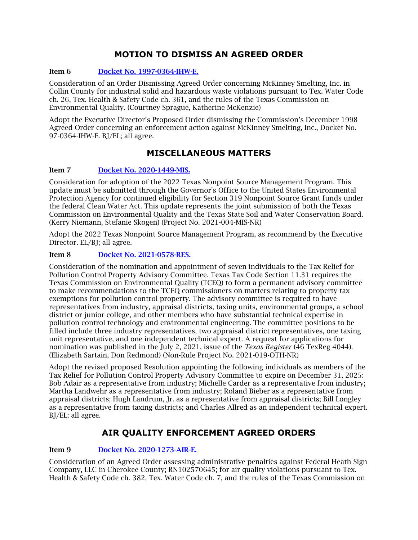# **MOTION TO DISMISS AN AGREED ORDER**

#### Item 6 [Docket No. 1997-0364-IHW-E.](http://www.tceq.texas.gov/assets/public/comm_exec/agendas/comm/backup/Agendas/2021/12-15-2021/0364IHW.pdf)

Consideration of an Order Dismissing Agreed Order concerning McKinney Smelting, Inc. in Collin County for industrial solid and hazardous waste violations pursuant to Tex. Water Code ch. 26, Tex. Health & Safety Code ch. 361, and the rules of the Texas Commission on Environmental Quality. (Courtney Sprague, Katherine McKenzie)

Adopt the Executive Director's Proposed Order dismissing the Commission's December 1998 Agreed Order concerning an enforcement action against McKinney Smelting, Inc., Docket No. 97-0364-IHW-E. BJ/EL; all agree.

# **MISCELLANEOUS MATTERS**

#### Item 7 [Docket No. 2020-1449-MIS.](http://www.tceq.texas.gov/assets/public/comm_exec/agendas/comm/backup/Agendas/2021/12-15-2021/1449MIS.pdf)

Consideration for adoption of the 2022 Texas Nonpoint Source Management Program. This update must be submitted through the Governor's Office to the United States Environmental Protection Agency for continued eligibility for Section 319 Nonpoint Source Grant funds under the federal Clean Water Act. This update represents the joint submission of both the Texas Commission on Environmental Quality and the Texas State Soil and Water Conservation Board. (Kerry Niemann, Stefanie Skogen) (Project No. 2021-004-MIS-NR)

Adopt the 2022 Texas Nonpoint Source Management Program, as recommend by the Executive Director. EL/BJ; all agree.

#### Item 8 [Docket No. 2021-0578-RES.](http://www.tceq.texas.gov/assets/public/comm_exec/agendas/comm/backup/Agendas/2021/12-15-2021/0578RES.pdf)

Consideration of the nomination and appointment of seven individuals to the Tax Relief for Pollution Control Property Advisory Committee. Texas Tax Code Section 11.31 requires the Texas Commission on Environmental Quality (TCEQ) to form a permanent advisory committee to make recommendations to the TCEQ commissioners on matters relating to property tax exemptions for pollution control property. The advisory committee is required to have representatives from industry, appraisal districts, taxing units, environmental groups, a school district or junior college, and other members who have substantial technical expertise in pollution control technology and environmental engineering. The committee positions to be filled include three industry representatives, two appraisal district representatives, one taxing unit representative, and one independent technical expert. A request for applications for nomination was published in the July 2, 2021, issue of the *Texas Register* (46 TexReg 4044). (Elizabeth Sartain, Don Redmond) (Non-Rule Project No. 2021-019-OTH-NR)

Adopt the revised proposed Resolution appointing the following individuals as members of the Tax Relief for Pollution Control Property Advisory Committee to expire on December 31, 2025: Bob Adair as a representative from industry; Michelle Carder as a representative from industry; Martha Landwehr as a representative from industry; Roland Bieber as a representative from appraisal districts; Hugh Landrum, Jr. as a representative from appraisal districts; Bill Longley as a representative from taxing districts; and Charles Allred as an independent technical expert. BJ/EL; all agree.

## **AIR QUALITY ENFORCEMENT AGREED ORDERS**

### Item 9 [Docket No. 2020-1273-AIR-E.](http://www.tceq.texas.gov/assets/public/comm_exec/agendas/comm/backup/Agendas/2021/12-15-2021/1273AIR.pdf)

Consideration of an Agreed Order assessing administrative penalties against Federal Heath Sign Company, LLC in Cherokee County; RN102570645; for air quality violations pursuant to Tex. Health & Safety Code ch. 382, Tex. Water Code ch. 7, and the rules of the Texas Commission on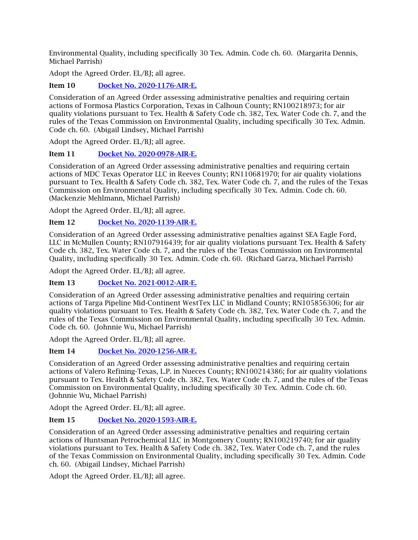Environmental Quality, including specifically 30 Tex. Admin. Code ch. 60. (Margarita Dennis, Michael Parrish)

Adopt the Agreed Order. EL/BJ; all agree.

Item 10 [Docket No. 2020-1176-AIR-E.](http://www.tceq.texas.gov/assets/public/comm_exec/agendas/comm/backup/Agendas/2021/12-15-2021/1176AIR.pdf)

Consideration of an Agreed Order assessing administrative penalties and requiring certain actions of Formosa Plastics Corporation, Texas in Calhoun County; RN100218973; for air quality violations pursuant to Tex. Health & Safety Code ch. 382, Tex. Water Code ch. 7, and the rules of the Texas Commission on Environmental Quality, including specifically 30 Tex. Admin. Code ch. 60. (Abigail Lindsey, Michael Parrish)

Adopt the Agreed Order. EL/BJ; all agree.

### Item 11 [Docket No. 2020-0978-AIR-E.](http://www.tceq.texas.gov/assets/public/comm_exec/agendas/comm/backup/Agendas/2021/12-15-2021/0978AIR.pdf)

Consideration of an Agreed Order assessing administrative penalties and requiring certain actions of MDC Texas Operator LLC in Reeves County; RN110681970; for air quality violations pursuant to Tex. Health & Safety Code ch. 382, Tex. Water Code ch. 7, and the rules of the Texas Commission on Environmental Quality, including specifically 30 Tex. Admin. Code ch. 60. (Mackenzie Mehlmann, Michael Parrish)

Adopt the Agreed Order. EL/BJ; all agree.

### Item 12 Docket [No. 2020-1139-AIR-E.](http://www.tceq.texas.gov/assets/public/comm_exec/agendas/comm/backup/Agendas/2021/12-15-2021/1139AIR.pdf)

Consideration of an Agreed Order assessing administrative penalties against SEA Eagle Ford, LLC in McMullen County; RN107916439; for air quality violations pursuant Tex. Health & Safety Code ch. 382, Tex. Water Code ch. 7, and the rules of the Texas Commission on Environmental Quality, including specifically 30 Tex. Admin. Code ch. 60. (Richard Garza, Michael Parrish)

Adopt the Agreed Order. EL/BJ; all agree.

### Item 13 [Docket No. 2021-0012-AIR-E.](http://www.tceq.texas.gov/assets/public/comm_exec/agendas/comm/backup/Agendas/2021/12-15-2021/0012AIR.pdf)

Consideration of an Agreed Order assessing administrative penalties and requiring certain actions of Targa Pipeline Mid-Continent WestTex LLC in Midland County; RN105856306; for air quality violations pursuant to Tex. Health & Safety Code ch. 382, Tex. Water Code ch. 7, and the rules of the Texas Commission on Environmental Quality, including specifically 30 Tex. Admin. Code ch. 60. (Johnnie Wu, Michael Parrish)

Adopt the Agreed Order. EL/BJ; all agree.

### Item 14 [Docket No. 2020-1256-AIR-E.](http://www.tceq.texas.gov/assets/public/comm_exec/agendas/comm/backup/Agendas/2021/12-15-2021/1256AIR.pdf)

Consideration of an Agreed Order assessing administrative penalties and requiring certain actions of Valero Refining-Texas, L.P. in Nueces County; RN100214386; for air quality violations pursuant to Tex. Health & Safety Code ch. 382, Tex. Water Code ch. 7, and the rules of the Texas Commission on Environmental Quality, including specifically 30 Tex. Admin. Code ch. 60. (Johnnie Wu, Michael Parrish)

Adopt the Agreed Order. EL/BJ; all agree.

### Item 15 [Docket No. 2020-1593-AIR-E.](http://www.tceq.texas.gov/assets/public/comm_exec/agendas/comm/backup/Agendas/2021/12-15-2021/1593AIR.pdf)

Consideration of an Agreed Order assessing administrative penalties and requiring certain actions of Huntsman Petrochemical LLC in Montgomery County; RN100219740; for air quality violations pursuant to Tex. Health & Safety Code ch. 382, Tex. Water Code ch. 7, and the rules of the Texas Commission on Environmental Quality, including specifically 30 Tex. Admin. Code ch. 60. (Abigail Lindsey, Michael Parrish)

Adopt the Agreed Order. EL/BJ; all agree.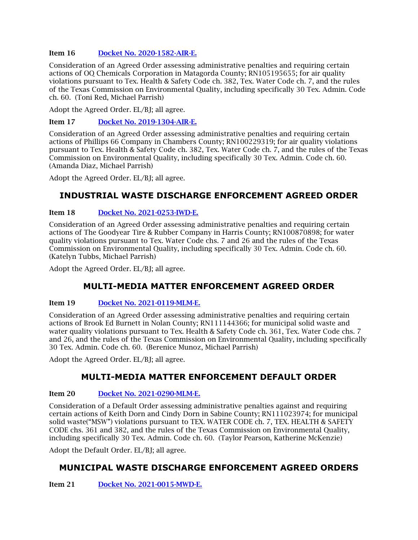#### Item 16 [Docket No. 2020-1582-AIR-E.](http://www.tceq.texas.gov/assets/public/comm_exec/agendas/comm/backup/Agendas/2021/12-15-2021/1582AIR.pdf)

Consideration of an Agreed Order assessing administrative penalties and requiring certain actions of OQ Chemicals Corporation in Matagorda County; RN105195655; for air quality violations pursuant to Tex. Health & Safety Code ch. 382, Tex. Water Code ch. 7, and the rules of the Texas Commission on Environmental Quality, including specifically 30 Tex. Admin. Code ch. 60. (Toni Red, Michael Parrish)

Adopt the Agreed Order. EL/BJ; all agree.

Item 17 [Docket No. 2019-1304-AIR-E.](http://www.tceq.texas.gov/assets/public/comm_exec/agendas/comm/backup/Agendas/2021/12-15-2021/1304AIR.pdf)

Consideration of an Agreed Order assessing administrative penalties and requiring certain actions of Phillips 66 Company in Chambers County; RN100229319; for air quality violations pursuant to Tex. Health & Safety Code ch. 382, Tex. Water Code ch. 7, and the rules of the Texas Commission on Environmental Quality, including specifically 30 Tex. Admin. Code ch. 60. (Amanda Diaz, Michael Parrish)

Adopt the Agreed Order. EL/BJ; all agree.

# **INDUSTRIAL WASTE DISCHARGE ENFORCEMENT AGREED ORDER**

### Item 18 [Docket No. 2021-0253-IWD-E.](http://www.tceq.texas.gov/assets/public/comm_exec/agendas/comm/backup/Agendas/2021/12-15-2021/0253IWD.pdf)

Consideration of an Agreed Order assessing administrative penalties and requiring certain actions of The Goodyear Tire & Rubber Company in Harris County; RN100870898; for water quality violations pursuant to Tex. Water Code chs. 7 and 26 and the rules of the Texas Commission on Environmental Quality, including specifically 30 Tex. Admin. Code ch. 60. (Katelyn Tubbs, Michael Parrish)

Adopt the Agreed Order. EL/BJ; all agree.

## **MULTI-MEDIA MATTER ENFORCEMENT AGREED ORDER**

#### Item 19 [Docket No. 2021-0119-MLM-E.](http://www.tceq.texas.gov/assets/public/comm_exec/agendas/comm/backup/Agendas/2021/12-15-2021/0119MLM.pdf)

Consideration of an Agreed Order assessing administrative penalties and requiring certain actions of Brook Ed Burnett in Nolan County; RN111144366; for municipal solid waste and water quality violations pursuant to Tex. Health & Safety Code ch. 361, Tex. Water Code chs. 7 and 26, and the rules of the Texas Commission on Environmental Quality, including specifically 30 Tex. Admin. Code ch. 60. (Berenice Munoz, Michael Parrish)

Adopt the Agreed Order. EL/BJ; all agree.

## **MULTI-MEDIA MATTER ENFORCEMENT DEFAULT ORDER**

#### Item 20 [Docket No. 2021-0290-MLM-E.](http://www.tceq.texas.gov/assets/public/comm_exec/agendas/comm/backup/Agendas/2021/12-15-2021/0290MLM.pdf)

Consideration of a Default Order assessing administrative penalties against and requiring certain actions of Keith Dorn and Cindy Dorn in Sabine County; RN111023974; for municipal solid waste("MSW") violations pursuant to TEX. WATER CODE ch. 7, TEX. HEALTH & SAFETY CODE chs. 361 and 382, and the rules of the Texas Commission on Environmental Quality, including specifically 30 Tex. Admin. Code ch. 60. (Taylor Pearson, Katherine McKenzie)

Adopt the Default Order. EL/BJ; all agree.

# **MUNICIPAL WASTE DISCHARGE ENFORCEMENT AGREED ORDERS**

Item 21 [Docket No. 2021-0015-MWD-E.](http://www.tceq.texas.gov/assets/public/comm_exec/agendas/comm/backup/Agendas/2021/12-15-2021/0015MWD.pdf)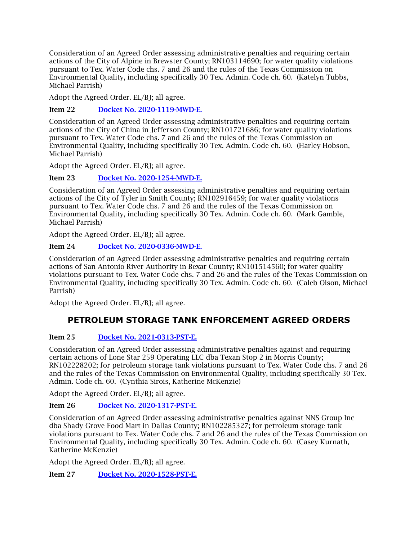Consideration of an Agreed Order assessing administrative penalties and requiring certain actions of the City of Alpine in Brewster County; RN103114690; for water quality violations pursuant to Tex. Water Code chs. 7 and 26 and the rules of the Texas Commission on Environmental Quality, including specifically 30 Tex. Admin. Code ch. 60. (Katelyn Tubbs, Michael Parrish)

Adopt the Agreed Order. EL/BJ; all agree.

Item 22 [Docket No. 2020-1119-MWD-E.](http://www.tceq.texas.gov/assets/public/comm_exec/agendas/comm/backup/Agendas/2021/12-15-2021/1119MWD.pdf)

Consideration of an Agreed Order assessing administrative penalties and requiring certain actions of the City of China in Jefferson County; RN101721686; for water quality violations pursuant to Tex. Water Code chs. 7 and 26 and the rules of the Texas Commission on Environmental Quality, including specifically 30 Tex. Admin. Code ch. 60. (Harley Hobson, Michael Parrish)

Adopt the Agreed Order. EL/BJ; all agree.

Item 23 [Docket No. 2020-1254-MWD-E.](http://www.tceq.texas.gov/assets/public/comm_exec/agendas/comm/backup/Agendas/2021/12-15-2021/1254MWD.pdf)

Consideration of an Agreed Order assessing administrative penalties and requiring certain actions of the City of Tyler in Smith County; RN102916459; for water quality violations pursuant to Tex. Water Code chs. 7 and 26 and the rules of the Texas Commission on Environmental Quality, including specifically 30 Tex. Admin. Code ch. 60. (Mark Gamble, Michael Parrish)

Adopt the Agreed Order. EL/BJ; all agree.

### Item 24 [Docket No. 2020-0336-MWD-E.](http://www.tceq.texas.gov/assets/public/comm_exec/agendas/comm/backup/Agendas/2021/12-15-2021/0336MWD.pdf)

Consideration of an Agreed Order assessing administrative penalties and requiring certain actions of San Antonio River Authority in Bexar County; RN101514560; for water quality violations pursuant to Tex. Water Code chs. 7 and 26 and the rules of the Texas Commission on Environmental Quality, including specifically 30 Tex. Admin. Code ch. 60. (Caleb Olson, Michael Parrish)

Adopt the Agreed Order. EL/BJ; all agree.

# **PETROLEUM STORAGE TANK ENFORCEMENT AGREED ORDERS**

### Item 25 [Docket No. 2021-0313-PST-E.](http://www.tceq.texas.gov/assets/public/comm_exec/agendas/comm/backup/Agendas/2021/12-15-2021/0313PST.pdf)

Consideration of an Agreed Order assessing administrative penalties against and requiring certain actions of Lone Star 259 Operating LLC dba Texan Stop 2 in Morris County; RN102228202; for petroleum storage tank violations pursuant to Tex. Water Code chs. 7 and 26 and the rules of the Texas Commission on Environmental Quality, including specifically 30 Tex. Admin. Code ch. 60. (Cynthia Sirois, Katherine McKenzie)

Adopt the Agreed Order. EL/BJ; all agree.

### Item 26 [Docket No. 2020-1317-PST-E.](http://www.tceq.texas.gov/assets/public/comm_exec/agendas/comm/backup/Agendas/2021/12-15-2021/1317PST.pdf)

Consideration of an Agreed Order assessing administrative penalties against NNS Group Inc dba Shady Grove Food Mart in Dallas County; RN102285327; for petroleum storage tank violations pursuant to Tex. Water Code chs. 7 and 26 and the rules of the Texas Commission on Environmental Quality, including specifically 30 Tex. Admin. Code ch. 60. (Casey Kurnath, Katherine McKenzie)

Adopt the Agreed Order. EL/BJ; all agree.

Item 27 [Docket No. 2020-1528-PST-E.](http://www.tceq.texas.gov/assets/public/comm_exec/agendas/comm/backup/Agendas/2021/12-15-2021/1528PST.pdf)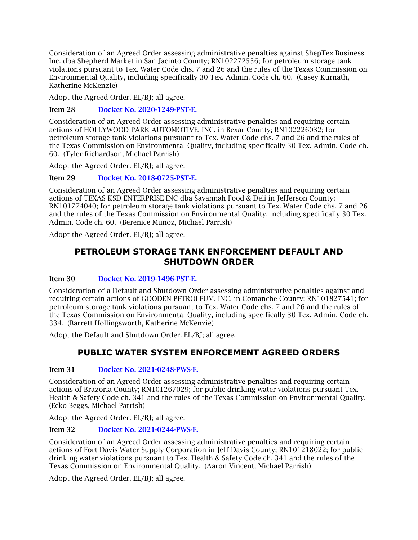Consideration of an Agreed Order assessing administrative penalties against ShepTex Business Inc. dba Shepherd Market in San Jacinto County; RN102272556; for petroleum storage tank violations pursuant to Tex. Water Code chs. 7 and 26 and the rules of the Texas Commission on Environmental Quality, including specifically 30 Tex. Admin. Code ch. 60. (Casey Kurnath, Katherine McKenzie)

Adopt the Agreed Order. EL/BJ; all agree.

Item 28 [Docket No. 2020-1249-PST-E.](http://www.tceq.texas.gov/assets/public/comm_exec/agendas/comm/backup/Agendas/2021/12-15-2021/1249PST.pdf)

Consideration of an Agreed Order assessing administrative penalties and requiring certain actions of HOLLYWOOD PARK AUTOMOTIVE, INC. in Bexar County; RN102226032; for petroleum storage tank violations pursuant to Tex. Water Code chs. 7 and 26 and the rules of the Texas Commission on Environmental Quality, including specifically 30 Tex. Admin. Code ch. 60. (Tyler Richardson, Michael Parrish)

Adopt the Agreed Order. EL/BJ; all agree.

Item 29 [Docket No. 2018-0725-PST-E.](http://www.tceq.texas.gov/assets/public/comm_exec/agendas/comm/backup/Agendas/2021/12-15-2021/0725PST.pdf)

Consideration of an Agreed Order assessing administrative penalties and requiring certain actions of TEXAS KSD ENTERPRISE INC dba Savannah Food & Deli in Jefferson County; RN101774040; for petroleum storage tank violations pursuant to Tex. Water Code chs. 7 and 26 and the rules of the Texas Commission on Environmental Quality, including specifically 30 Tex. Admin. Code ch. 60. (Berenice Munoz, Michael Parrish)

Adopt the Agreed Order. EL/BI: all agree.

## **PETROLEUM STORAGE TANK ENFORCEMENT DEFAULT AND SHUTDOWN ORDER**

### Item 30 [Docket No. 2019-1496-PST-E.](http://www.tceq.texas.gov/assets/public/comm_exec/agendas/comm/backup/Agendas/2021/12-15-2021/1496PST.pdf)

Consideration of a Default and Shutdown Order assessing administrative penalties against and requiring certain actions of GOODEN PETROLEUM, INC. in Comanche County; RN101827541; for petroleum storage tank violations pursuant to Tex. Water Code chs. 7 and 26 and the rules of the Texas Commission on Environmental Quality, including specifically 30 Tex. Admin. Code ch. 334. (Barrett Hollingsworth, Katherine McKenzie)

Adopt the Default and Shutdown Order. EL/BJ; all agree.

## **PUBLIC WATER SYSTEM ENFORCEMENT AGREED ORDERS**

### Item 31 [Docket No. 2021-0248-PWS-E.](http://www.tceq.texas.gov/assets/public/comm_exec/agendas/comm/backup/Agendas/2021/12-15-2021/0248PWS.pdf)

Consideration of an Agreed Order assessing administrative penalties and requiring certain actions of Brazoria County; RN101267029; for public drinking water violations pursuant Tex. Health & Safety Code ch. 341 and the rules of the Texas Commission on Environmental Quality. (Ecko Beggs, Michael Parrish)

Adopt the Agreed Order. EL/BJ; all agree.

### Item 32 [Docket No. 2021-0244-PWS-E.](http://www.tceq.texas.gov/assets/public/comm_exec/agendas/comm/backup/Agendas/2021/12-15-2021/0244PWS.pdf)

Consideration of an Agreed Order assessing administrative penalties and requiring certain actions of Fort Davis Water Supply Corporation in Jeff Davis County; RN101218022; for public drinking water violations pursuant to Tex. Health & Safety Code ch. 341 and the rules of the Texas Commission on Environmental Quality. (Aaron Vincent, Michael Parrish)

Adopt the Agreed Order. EL/BJ; all agree.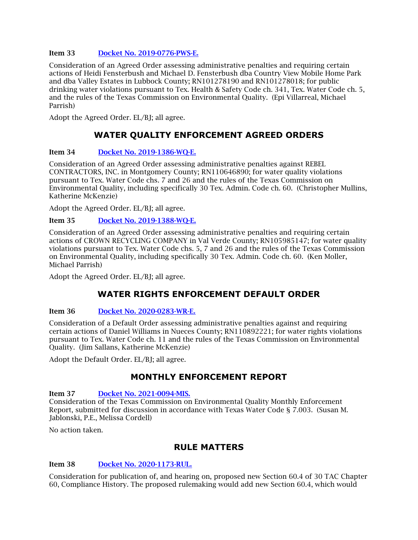#### Item 33 [Docket No. 2019-0776-PWS-E.](http://www.tceq.texas.gov/assets/public/comm_exec/agendas/comm/backup/Agendas/2021/12-15-2021/0776PWS.pdf)

Consideration of an Agreed Order assessing administrative penalties and requiring certain actions of Heidi Fensterbush and Michael D. Fensterbush dba Country View Mobile Home Park and dba Valley Estates in Lubbock County; RN101278190 and RN101278018; for public drinking water violations pursuant to Tex. Health & Safety Code ch. 341, Tex. Water Code ch. 5, and the rules of the Texas Commission on Environmental Quality. (Epi Villarreal, Michael Parrish)

Adopt the Agreed Order. EL/BJ; all agree.

# **WATER QUALITY ENFORCEMENT AGREED ORDERS**

#### Item 34 [Docket No. 2019-1386-WQ-E.](http://www.tceq.texas.gov/assets/public/comm_exec/agendas/comm/backup/Agendas/2021/12-15-2021/1386WQ.pdf)

Consideration of an Agreed Order assessing administrative penalties against REBEL CONTRACTORS, INC. in Montgomery County; RN110646890; for water quality violations pursuant to Tex. Water Code chs. 7 and 26 and the rules of the Texas Commission on Environmental Quality, including specifically 30 Tex. Admin. Code ch. 60. (Christopher Mullins, Katherine McKenzie)

Adopt the Agreed Order. EL/BJ; all agree.

#### Item 35 [Docket No. 2019-1388-WQ-E.](http://www.tceq.texas.gov/assets/public/comm_exec/agendas/comm/backup/Agendas/2021/12-15-2021/1388WQ.pdf)

Consideration of an Agreed Order assessing administrative penalties and requiring certain actions of CROWN RECYCLING COMPANY in Val Verde County; RN105985147; for water quality violations pursuant to Tex. Water Code chs. 5, 7 and 26 and the rules of the Texas Commission on Environmental Quality, including specifically 30 Tex. Admin. Code ch. 60. (Ken Moller, Michael Parrish)

Adopt the Agreed Order. EL/BJ; all agree.

# **WATER RIGHTS ENFORCEMENT DEFAULT ORDER**

### Item 36 [Docket No. 2020-0283-WR-E.](http://www.tceq.texas.gov/assets/public/comm_exec/agendas/comm/backup/Agendas/2021/12-15-2021/0283WR.pdf)

Consideration of a Default Order assessing administrative penalties against and requiring certain actions of Daniel Williams in Nueces County; RN110892221; for water rights violations pursuant to Tex. Water Code ch. 11 and the rules of the Texas Commission on Environmental Quality. (Jim Sallans, Katherine McKenzie)

Adopt the Default Order. EL/BJ; all agree.

## **MONTHLY ENFORCEMENT REPORT**

Item 37 [Docket No. 2021-0094-MIS.](http://www.tceq.texas.gov/assets/public/comm_exec/agendas/comm/backup/Agendas/2021/12-15-2021/0094MIS.pdf)

Consideration of the Texas Commission on Environmental Quality Monthly Enforcement Report, submitted for discussion in accordance with Texas Water Code § 7.003. (Susan M. Jablonski, P.E., Melissa Cordell)

No action taken.

## **RULE MATTERS**

### Item 38 [Docket No. 2020-1173-RUL.](http://www.tceq.texas.gov/assets/public/comm_exec/agendas/comm/backup/Agendas/2021/12-15-2021/1173RUL.pdf)

Consideration for publication of, and hearing on, proposed new Section 60.4 of 30 TAC Chapter 60, Compliance History. The proposed rulemaking would add new Section 60.4, which would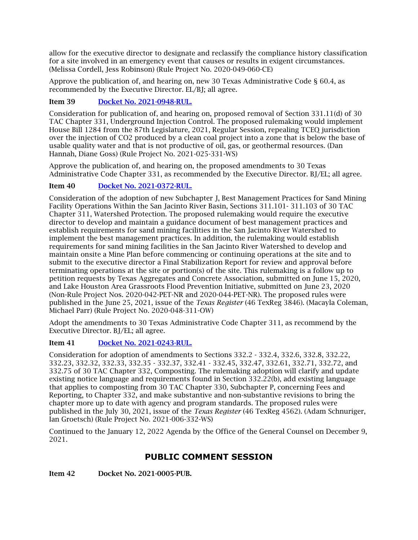allow for the executive director to designate and reclassify the compliance history classification for a site involved in an emergency event that causes or results in exigent circumstances. (Melissa Cordell, Jess Robinson) (Rule Project No. 2020-049-060-CE)

Approve the publication of, and hearing on, new 30 Texas Administrative Code § 60.4, as recommended by the Executive Director. EL/BJ; all agree.

### Item 39 [Docket No. 2021-0948-RUL.](http://www.tceq.texas.gov/assets/public/comm_exec/agendas/comm/backup/Agendas/2021/12-15-2021/0948RUL.pdf)

Consideration for publication of, and hearing on, proposed removal of Section 331.11(d) of 30 TAC Chapter 331, Underground Injection Control. The proposed rulemaking would implement House Bill 1284 from the 87th Legislature, 2021, Regular Session, repealing TCEQ jurisdiction over the injection of CO2 produced by a clean coal project into a zone that is below the base of usable quality water and that is not productive of oil, gas, or geothermal resources. (Dan Hannah, Diane Goss) (Rule Project No. 2021-025-331-WS)

Approve the publication of, and hearing on, the proposed amendments to 30 Texas Administrative Code Chapter 331, as recommended by the Executive Director. BJ/EL; all agree.

### Item 40 [Docket No. 2021-0372-RUL.](http://www.tceq.texas.gov/assets/public/comm_exec/agendas/comm/backup/Agendas/2021/12-15-2021/0372RUL.pdf)

Consideration of the adoption of new Subchapter J, Best Management Practices for Sand Mining Facility Operations Within the San Jacinto River Basin, Sections 311.101- 311.103 of 30 TAC Chapter 311, Watershed Protection. The proposed rulemaking would require the executive director to develop and maintain a guidance document of best management practices and establish requirements for sand mining facilities in the San Jacinto River Watershed to implement the best management practices. In addition, the rulemaking would establish requirements for sand mining facilities in the San Jacinto River Watershed to develop and maintain onsite a Mine Plan before commencing or continuing operations at the site and to submit to the executive director a Final Stabilization Report for review and approval before terminating operations at the site or portion(s) of the site. This rulemaking is a follow up to petition requests by Texas Aggregates and Concrete Association, submitted on June 15, 2020, and Lake Houston Area Grassroots Flood Prevention Initiative, submitted on June 23, 2020 (Non-Rule Project Nos. 2020-042-PET-NR and 2020-044-PET-NR). The proposed rules were published in the June 25, 2021, issue of the *Texas Register* (46 TexReg 3846). (Macayla Coleman, Michael Parr) (Rule Project No. 2020-048-311-OW)

Adopt the amendments to 30 Texas Administrative Code Chapter 311, as recommend by the Executive Director. BJ/EL; all agree.

### Item 41 [Docket No. 2021-0243-RUL.](http://www.tceq.texas.gov/assets/public/comm_exec/agendas/comm/backup/Agendas/2021/12-15-2021/0243RUL.pdf)

Consideration for adoption of amendments to Sections 332.2 - 332.4, 332.6, 332.8, 332.22, 332.23, 332.32, 332.33, 332.35 - 332.37, 332.41 - 332.45, 332.47, 332.61, 332.71, 332.72, and 332.75 of 30 TAC Chapter 332, Composting. The rulemaking adoption will clarify and update existing notice language and requirements found in Section 332.22(b), add existing language that applies to composting from 30 TAC Chapter 330, Subchapter P, concerning Fees and Reporting, to Chapter 332, and make substantive and non-substantive revisions to bring the chapter more up to date with agency and program standards. The proposed rules were published in the July 30, 2021, issue of the *Texas Register* (46 TexReg 4562). (Adam Schnuriger, Ian Groetsch) (Rule Project No. 2021-006-332-WS)

Continued to the January 12, 2022 Agenda by the Office of the General Counsel on December 9, 2021.

# **PUBLIC COMMENT SESSION**

Item 42 Docket No. 2021-0005-PUB.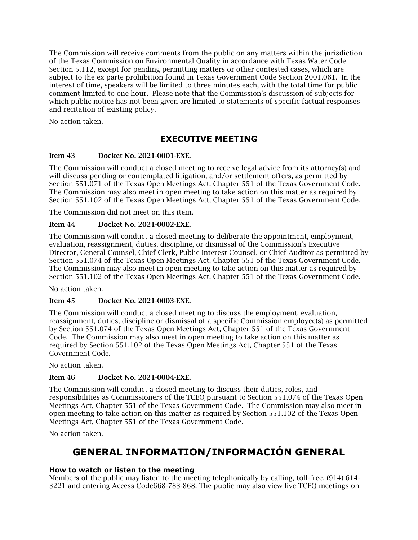The Commission will receive comments from the public on any matters within the jurisdiction of the Texas Commission on Environmental Quality in accordance with Texas Water Code Section 5.112, except for pending permitting matters or other contested cases, which are subject to the ex parte prohibition found in Texas Government Code Section 2001.061. In the interest of time, speakers will be limited to three minutes each, with the total time for public comment limited to one hour. Please note that the Commission's discussion of subjects for which public notice has not been given are limited to statements of specific factual responses and recitation of existing policy.

No action taken.

# **EXECUTIVE MEETING**

### <span id="page-9-0"></span>Item 43 Docket No. 2021-0001-EXE.

The Commission will conduct a closed meeting to receive legal advice from its attorney(s) and will discuss pending or contemplated litigation, and/or settlement offers, as permitted by Section 551.071 of the Texas Open Meetings Act, Chapter 551 of the Texas Government Code. The Commission may also meet in open meeting to take action on this matter as required by Section 551.102 of the Texas Open Meetings Act, Chapter 551 of the Texas Government Code.

The Commission did not meet on this item.

### Item 44 Docket No. 2021-0002-EXE.

The Commission will conduct a closed meeting to deliberate the appointment, employment, evaluation, reassignment, duties, discipline, or dismissal of the Commission's Executive Director, General Counsel, Chief Clerk, Public Interest Counsel, or Chief Auditor as permitted by Section 551.074 of the Texas Open Meetings Act, Chapter 551 of the Texas Government Code. The Commission may also meet in open meeting to take action on this matter as required by Section 551.102 of the Texas Open Meetings Act, Chapter 551 of the Texas Government Code.

No action taken.

### Item 45 Docket No. 2021-0003-EXE.

The Commission will conduct a closed meeting to discuss the employment, evaluation, reassignment, duties, discipline or dismissal of a specific Commission employee(s) as permitted by Section 551.074 of the Texas Open Meetings Act, Chapter 551 of the Texas Government Code. The Commission may also meet in open meeting to take action on this matter as required by Section 551.102 of the Texas Open Meetings Act, Chapter 551 of the Texas Government Code.

No action taken.

### Item 46 Docket No. 2021-0004-EXE.

The Commission will conduct a closed meeting to discuss their duties, roles, and responsibilities as Commissioners of the TCEQ pursuant to Section 551.074 of the Texas Open Meetings Act, Chapter 551 of the Texas Government Code. The Commission may also meet in open meeting to take action on this matter as required by Section 551.102 of the Texas Open Meetings Act, Chapter 551 of the Texas Government Code.

No action taken.

# **GENERAL INFORMATION/INFORMACIÓN GENERAL**

### **How to watch or listen to the meeting**

Members of the public may listen to the meeting telephonically by calling, toll-free, (914) 614- 3221 and entering Access Code668-783-868. The public may also view live TCEQ meetings on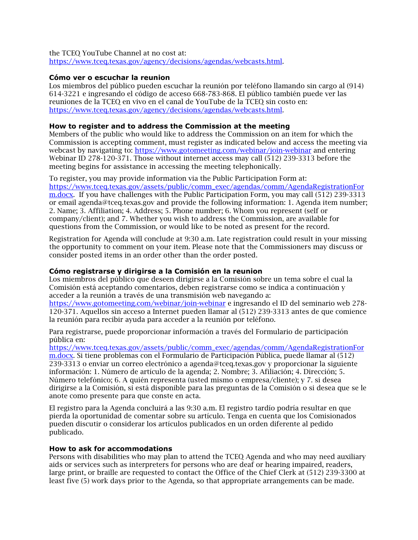the TCEQ YouTube Channel at no cost at: [https://www.tceq.texas.gov/agency/decisions/agendas/webcasts.html.](https://www.tceq.texas.gov/agency/decisions/agendas/webcasts.html)

#### **Cómo ver o escuchar la reunion**

Los miembros del público pueden escuchar la reunión por teléfono llamando sin cargo al (914) 614-3221 e ingresando el código de acceso 668-783-868. El público también puede ver las reuniones de la TCEQ en vivo en el canal de YouTube de la TCEQ sin costo en: [https://www.tceq.texas.gov/agency/decisions/agendas/webcasts.html.](https://www.tceq.texas.gov/agency/decisions/agendas/webcasts.html)

#### **How to register and to address the Commission at the meeting**

Members of the public who would like to address the Commission on an item for which the Commission is accepting comment, must register as indicated below and access the meeting via webcast by navigating to:<https://www.gotomeeting.com/webinar/join-webinar> and entering Webinar ID 278-120-371. Those without internet access may call (512) 239-3313 before the meeting begins for assistance in accessing the meeting telephonically.

To register, you may provide information via the Public Participation Form at: [https://www.tceq.texas.gov/assets/public/comm\\_exec/agendas/comm/AgendaRegistrationFor](https://www.tceq.texas.gov/assets/public/comm_exec/agendas/comm/AgendaRegistrationForm.docx) [m.docx.](https://www.tceq.texas.gov/assets/public/comm_exec/agendas/comm/AgendaRegistrationForm.docx) If you have challenges with the Public Participation Form, you may call (512) 239-3313 or email agenda@tceq.texas.gov and provide the following information: 1. Agenda item number; 2. Name; 3. Affiliation; 4. Address; 5. Phone number; 6. Whom you represent (self or company/client); and 7. Whether you wish to address the Commission, are available for questions from the Commission, or would like to be noted as present for the record.

Registration for Agenda will conclude at 9:30 a.m. Late registration could result in your missing the opportunity to comment on your item. Please note that the Commissioners may discuss or consider posted items in an order other than the order posted.

#### **Cómo registrarse y dirigirse a la Comisión en la reunion**

Los miembros del público que deseen dirigirse a la Comisión sobre un tema sobre el cual la Comisión está aceptando comentarios, deben registrarse como se indica a continuación y acceder a la reunión a través de una transmisión web navegando a: <https://www.gotomeeting.com/webinar/join-webinar> e ingresando el ID del seminario web 278- 120-371. Aquellos sin acceso a Internet pueden llamar al (512) 239-3313 antes de que comience

la reunión para recibir ayuda para acceder a la reunión por teléfono.

Para registrarse, puede proporcionar información a través del Formulario de participación pública en:

[https://www.tceq.texas.gov/assets/public/comm\\_exec/agendas/comm/AgendaRegistrationFor](https://www.tceq.texas.gov/assets/public/comm_exec/agendas/comm/AgendaRegistrationForm.docx) [m.docx.](https://www.tceq.texas.gov/assets/public/comm_exec/agendas/comm/AgendaRegistrationForm.docx) Si tiene problemas con el Formulario de Participación Pública, puede llamar al (512) 239-3313 o enviar un correo electrónico a agenda@tceq.texas.gov y proporcionar la siguiente información: 1. Número de artículo de la agenda; 2. Nombre; 3. Afiliación; 4. Dirección; 5. Número telefónico; 6. A quién representa (usted mismo o empresa/cliente); y 7. si desea dirigirse a la Comisión, si está disponible para las preguntas de la Comisión o si desea que se le anote como presente para que conste en acta.

El registro para la Agenda concluirá a las 9:30 a.m. El registro tardío podría resultar en que pierda la oportunidad de comentar sobre su artículo. Tenga en cuenta que los Comisionados pueden discutir o considerar los artículos publicados en un orden diferente al pedido publicado.

#### **How to ask for accommodations**

Persons with disabilities who may plan to attend the TCEQ Agenda and who may need auxiliary aids or services such as interpreters for persons who are deaf or hearing impaired, readers, large print, or braille are requested to contact the Office of the Chief Clerk at (512) 239-3300 at least five (5) work days prior to the Agenda, so that appropriate arrangements can be made.